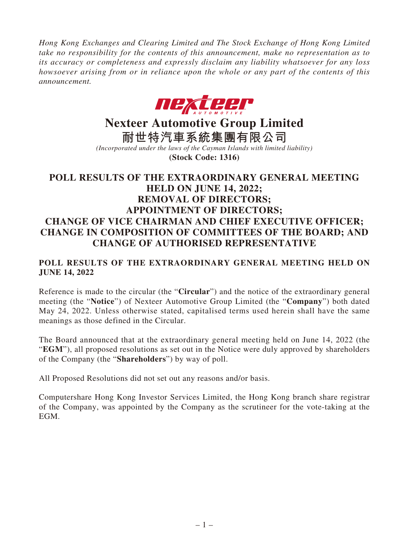*Hong Kong Exchanges and Clearing Limited and The Stock Exchange of Hong Kong Limited take no responsibility for the contents of this announcement, make no representation as to its accuracy or completeness and expressly disclaim any liability whatsoever for any loss howsoever arising from or in reliance upon the whole or any part of the contents of this announcement.*



# **Nexteer Automotive Group Limited**

**耐世特汽車系統集團有限公司** *(Incorporated under the laws of the Cayman Islands with limited liability)*

**(Stock Code: 1316)**

# **POLL RESULTS OF THE EXTRAORDINARY GENERAL MEETING HELD ON JUNE 14, 2022; REMOVAL OF DIRECTORS; APPOINTMENT OF DIRECTORS; CHANGE OF VICE CHAIRMAN AND CHIEF EXECUTIVE OFFICER; CHANGE IN COMPOSITION OF COMMITTEES OF THE BOARD; AND CHANGE OF AUTHORISED REPRESENTATIVE**

# **POLL RESULTS OF THE EXTRAORDINARY GENERAL MEETING HELD ON JUNE 14, 2022**

Reference is made to the circular (the "**Circular**") and the notice of the extraordinary general meeting (the "**Notice**") of Nexteer Automotive Group Limited (the "**Company**") both dated May 24, 2022. Unless otherwise stated, capitalised terms used herein shall have the same meanings as those defined in the Circular.

The Board announced that at the extraordinary general meeting held on June 14, 2022 (the "**EGM**"), all proposed resolutions as set out in the Notice were duly approved by shareholders of the Company (the "**Shareholders**") by way of poll.

All Proposed Resolutions did not set out any reasons and/or basis.

Computershare Hong Kong Investor Services Limited, the Hong Kong branch share registrar of the Company, was appointed by the Company as the scrutineer for the vote-taking at the EGM.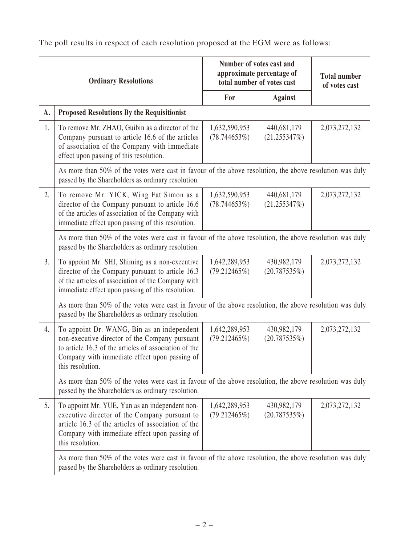The poll results in respect of each resolution proposed at the EGM were as follows:

| <b>Ordinary Resolutions</b> |                                                                                                                                                                                                                            | Number of votes cast and<br>approximate percentage of<br>total number of votes cast |                                | <b>Total number</b><br>of votes cast |  |  |
|-----------------------------|----------------------------------------------------------------------------------------------------------------------------------------------------------------------------------------------------------------------------|-------------------------------------------------------------------------------------|--------------------------------|--------------------------------------|--|--|
|                             |                                                                                                                                                                                                                            | For                                                                                 | <b>Against</b>                 |                                      |  |  |
| A.                          | <b>Proposed Resolutions By the Requisitionist</b>                                                                                                                                                                          |                                                                                     |                                |                                      |  |  |
| 1.                          | To remove Mr. ZHAO, Guibin as a director of the<br>Company pursuant to article 16.6 of the articles<br>of association of the Company with immediate<br>effect upon passing of this resolution.                             | 1,632,590,953<br>(78.744653%)                                                       | 440,681,179<br>(21.255347%)    | 2,073,272,132                        |  |  |
|                             | As more than 50% of the votes were cast in favour of the above resolution, the above resolution was duly<br>passed by the Shareholders as ordinary resolution.                                                             |                                                                                     |                                |                                      |  |  |
| 2.                          | To remove Mr. YICK, Wing Fat Simon as a<br>director of the Company pursuant to article 16.6<br>of the articles of association of the Company with<br>immediate effect upon passing of this resolution.                     | 1,632,590,953<br>(78.744653%)                                                       | 440,681,179<br>(21.255347%)    | 2,073,272,132                        |  |  |
|                             | As more than 50% of the votes were cast in favour of the above resolution, the above resolution was duly<br>passed by the Shareholders as ordinary resolution.                                                             |                                                                                     |                                |                                      |  |  |
| 3.                          | To appoint Mr. SHI, Shiming as a non-executive<br>director of the Company pursuant to article 16.3<br>of the articles of association of the Company with<br>immediate effect upon passing of this resolution.              | 1,642,289,953<br>$(79.212465\%)$                                                    | 430,982,179<br>$(20.787535\%)$ | 2,073,272,132                        |  |  |
|                             | As more than 50% of the votes were cast in favour of the above resolution, the above resolution was duly<br>passed by the Shareholders as ordinary resolution.                                                             |                                                                                     |                                |                                      |  |  |
| 4.                          | To appoint Dr. WANG, Bin as an independent<br>non-executive director of the Company pursuant<br>to article 16.3 of the articles of association of the<br>Company with immediate effect upon passing of<br>this resolution. | 1,642,289,953<br>$(79.212465\%)$                                                    | 430,982,179<br>$(20.787535\%)$ | 2,073,272,132                        |  |  |
|                             | As more than 50% of the votes were cast in favour of the above resolution, the above resolution was duly<br>passed by the Shareholders as ordinary resolution.                                                             |                                                                                     |                                |                                      |  |  |
| 5.                          | To appoint Mr. YUE, Yun as an independent non-<br>executive director of the Company pursuant to<br>article 16.3 of the articles of association of the<br>Company with immediate effect upon passing of<br>this resolution. | 1,642,289,953<br>(79.212465%)                                                       | 430,982,179<br>(20.787535%)    | 2,073,272,132                        |  |  |
|                             | As more than 50% of the votes were cast in favour of the above resolution, the above resolution was duly                                                                                                                   |                                                                                     |                                |                                      |  |  |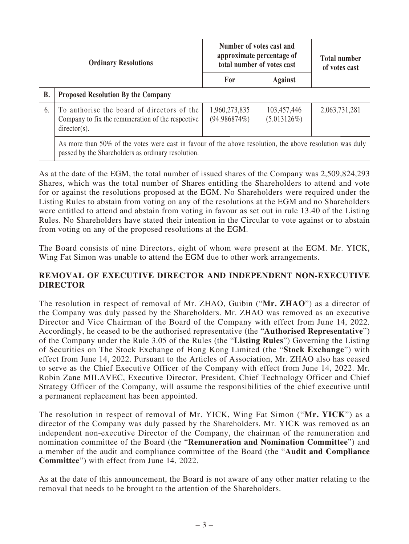| <b>Ordinary Resolutions</b> |                                                                                                                                                                | Number of votes cast and<br>approximate percentage of<br>total number of votes cast |                            | <b>Total number</b><br>of votes cast |  |  |
|-----------------------------|----------------------------------------------------------------------------------------------------------------------------------------------------------------|-------------------------------------------------------------------------------------|----------------------------|--------------------------------------|--|--|
|                             |                                                                                                                                                                | For                                                                                 | Against                    |                                      |  |  |
| <b>B.</b>                   | <b>Proposed Resolution By the Company</b>                                                                                                                      |                                                                                     |                            |                                      |  |  |
| 6.                          | To authorise the board of directors of the<br>Company to fix the remuneration of the respective<br>$directory(s)$ .                                            | 1,960,273,835<br>(94.986874%)                                                       | 103,457,446<br>(5.013126%) | 2,063,731,281                        |  |  |
|                             | As more than 50% of the votes were cast in favour of the above resolution, the above resolution was duly<br>passed by the Shareholders as ordinary resolution. |                                                                                     |                            |                                      |  |  |

As at the date of the EGM, the total number of issued shares of the Company was 2,509,824,293 Shares, which was the total number of Shares entitling the Shareholders to attend and vote for or against the resolutions proposed at the EGM. No Shareholders were required under the Listing Rules to abstain from voting on any of the resolutions at the EGM and no Shareholders were entitled to attend and abstain from voting in favour as set out in rule 13.40 of the Listing Rules. No Shareholders have stated their intention in the Circular to vote against or to abstain from voting on any of the proposed resolutions at the EGM.

The Board consists of nine Directors, eight of whom were present at the EGM. Mr. YICK, Wing Fat Simon was unable to attend the EGM due to other work arrangements.

#### **REMOVAL OF EXECUTIVE DIRECTOR AND INDEPENDENT NON-EXECUTIVE DIRECTOR**

The resolution in respect of removal of Mr. ZHAO, Guibin ("**Mr. ZHAO**") as a director of the Company was duly passed by the Shareholders. Mr. ZHAO was removed as an executive Director and Vice Chairman of the Board of the Company with effect from June 14, 2022. Accordingly, he ceased to be the authorised representative (the "**Authorised Representative**") of the Company under the Rule 3.05 of the Rules (the "**Listing Rules**") Governing the Listing of Securities on The Stock Exchange of Hong Kong Limited (the "**Stock Exchange**") with effect from June 14, 2022. Pursuant to the Articles of Association, Mr. ZHAO also has ceased to serve as the Chief Executive Officer of the Company with effect from June 14, 2022. Mr. Robin Zane MILAVEC, Executive Director, President, Chief Technology Officer and Chief Strategy Officer of the Company, will assume the responsibilities of the chief executive until a permanent replacement has been appointed.

The resolution in respect of removal of Mr. YICK, Wing Fat Simon ("**Mr. YICK**") as a director of the Company was duly passed by the Shareholders. Mr. YICK was removed as an independent non-executive Director of the Company, the chairman of the remuneration and nomination committee of the Board (the "**Remuneration and Nomination Committee**") and a member of the audit and compliance committee of the Board (the "**Audit and Compliance Committee**") with effect from June 14, 2022.

As at the date of this announcement, the Board is not aware of any other matter relating to the removal that needs to be brought to the attention of the Shareholders.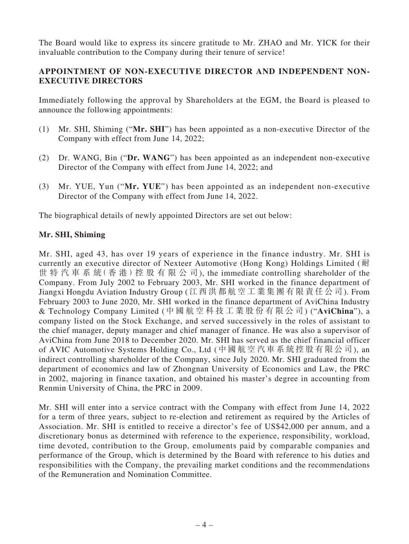The Board would like to express its sincere gratitude to Mr. ZHAO and Mr. YICK for their invaluable contribution to the Company during their tenure of service!

## **APPOINTMENT OF NON-EXECUTIVE DIRECTOR AND INDEPENDENT NON-EXECUTIVE DIRECTORS**

Immediately following the approval by Shareholders at the EGM, the Board is pleased to announce the following appointments:

- (1) Mr. SHI, Shiming ("**Mr. SHI**") has been appointed as a non-executive Director of the Company with effect from June 14, 2022;
- (2) Dr. WANG, Bin ("**Dr. WANG**") has been appointed as an independent non-executive Director of the Company with effect from June 14, 2022; and
- (3) Mr. YUE, Yun ("**Mr. YUE**") has been appointed as an independent non-executive Director of the Company with effect from June 14, 2022.

The biographical details of newly appointed Directors are set out below:

#### **Mr. SHI, Shiming**

Mr. SHI, aged 43, has over 19 years of experience in the finance industry. Mr. SHI is currently an executive director of Nexteer Automotive (Hong Kong) Holdings Limited (耐 世特汽車系統( 香 港 )控 股 有 限 公 司), the immediate controlling shareholder of the Company. From July 2002 to February 2003, Mr. SHI worked in the finance department of Jiangxi Hongdu Aviation Industry Group (江西洪都航空工業集團有限責任公司). From February 2003 to June 2020, Mr. SHI worked in the finance department of AviChina Industry & Technology Company Limited (中國航空科技工業股份有限公司) ("**AviChina**"), a company listed on the Stock Exchange, and served successively in the roles of assistant to the chief manager, deputy manager and chief manager of finance. He was also a supervisor of AviChina from June 2018 to December 2020. Mr. SHI has served as the chief financial officer of AVIC Automotive Systems Holding Co., Ltd (中國航空汽車系統控股有限公司), an indirect controlling shareholder of the Company, since July 2020. Mr. SHI graduated from the department of economics and law of Zhongnan University of Economics and Law, the PRC in 2002, majoring in finance taxation, and obtained his master's degree in accounting from Renmin University of China, the PRC in 2009.

Mr. SHI will enter into a service contract with the Company with effect from June 14, 2022 for a term of three years, subject to re-election and retirement as required by the Articles of Association. Mr. SHI is entitled to receive a director's fee of US\$42,000 per annum, and a discretionary bonus as determined with reference to the experience, responsibility, workload, time devoted, contribution to the Group, emoluments paid by comparable companies and performance of the Group, which is determined by the Board with reference to his duties and responsibilities with the Company, the prevailing market conditions and the recommendations of the Remuneration and Nomination Committee.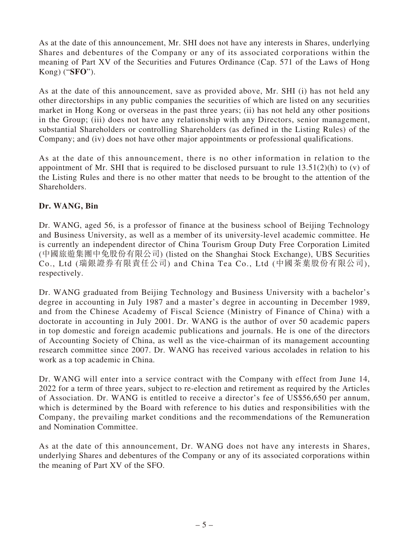As at the date of this announcement, Mr. SHI does not have any interests in Shares, underlying Shares and debentures of the Company or any of its associated corporations within the meaning of Part XV of the Securities and Futures Ordinance (Cap. 571 of the Laws of Hong Kong) ("**SFO**").

As at the date of this announcement, save as provided above, Mr. SHI (i) has not held any other directorships in any public companies the securities of which are listed on any securities market in Hong Kong or overseas in the past three years; (ii) has not held any other positions in the Group; (iii) does not have any relationship with any Directors, senior management, substantial Shareholders or controlling Shareholders (as defined in the Listing Rules) of the Company; and (iv) does not have other major appointments or professional qualifications.

As at the date of this announcement, there is no other information in relation to the appointment of Mr. SHI that is required to be disclosed pursuant to rule  $13.51(2)(h)$  to (v) of the Listing Rules and there is no other matter that needs to be brought to the attention of the Shareholders.

## **Dr. WANG, Bin**

Dr. WANG, aged 56, is a professor of finance at the business school of Beijing Technology and Business University, as well as a member of its university-level academic committee. He is currently an independent director of China Tourism Group Duty Free Corporation Limited (中國旅遊集團中免股份有限公司) (listed on the Shanghai Stock Exchange), UBS Securities Co., Ltd (瑞銀證券有限責任公司) and China Tea Co., Ltd (中國茶葉股份有限公司), respectively.

Dr. WANG graduated from Beijing Technology and Business University with a bachelor's degree in accounting in July 1987 and a master's degree in accounting in December 1989, and from the Chinese Academy of Fiscal Science (Ministry of Finance of China) with a doctorate in accounting in July 2001. Dr. WANG is the author of over 50 academic papers in top domestic and foreign academic publications and journals. He is one of the directors of Accounting Society of China, as well as the vice-chairman of its management accounting research committee since 2007. Dr. WANG has received various accolades in relation to his work as a top academic in China.

Dr. WANG will enter into a service contract with the Company with effect from June 14, 2022 for a term of three years, subject to re-election and retirement as required by the Articles of Association. Dr. WANG is entitled to receive a director's fee of US\$56,650 per annum, which is determined by the Board with reference to his duties and responsibilities with the Company, the prevailing market conditions and the recommendations of the Remuneration and Nomination Committee.

As at the date of this announcement, Dr. WANG does not have any interests in Shares, underlying Shares and debentures of the Company or any of its associated corporations within the meaning of Part XV of the SFO.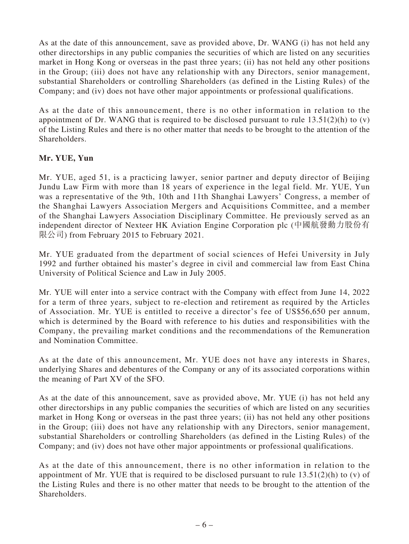As at the date of this announcement, save as provided above, Dr. WANG (i) has not held any other directorships in any public companies the securities of which are listed on any securities market in Hong Kong or overseas in the past three years; (ii) has not held any other positions in the Group; (iii) does not have any relationship with any Directors, senior management, substantial Shareholders or controlling Shareholders (as defined in the Listing Rules) of the Company; and (iv) does not have other major appointments or professional qualifications.

As at the date of this announcement, there is no other information in relation to the appointment of Dr. WANG that is required to be disclosed pursuant to rule  $13.51(2)(h)$  to (v) of the Listing Rules and there is no other matter that needs to be brought to the attention of the Shareholders.

## **Mr. YUE, Yun**

Mr. YUE, aged 51, is a practicing lawyer, senior partner and deputy director of Beijing Jundu Law Firm with more than 18 years of experience in the legal field. Mr. YUE, Yun was a representative of the 9th, 10th and 11th Shanghai Lawyers' Congress, a member of the Shanghai Lawyers Association Mergers and Acquisitions Committee, and a member of the Shanghai Lawyers Association Disciplinary Committee. He previously served as an independent director of Nexteer HK Aviation Engine Corporation plc (中國航發動力股份有 限公司) from February 2015 to February 2021.

Mr. YUE graduated from the department of social sciences of Hefei University in July 1992 and further obtained his master's degree in civil and commercial law from East China University of Political Science and Law in July 2005.

Mr. YUE will enter into a service contract with the Company with effect from June 14, 2022 for a term of three years, subject to re-election and retirement as required by the Articles of Association. Mr. YUE is entitled to receive a director's fee of US\$56,650 per annum, which is determined by the Board with reference to his duties and responsibilities with the Company, the prevailing market conditions and the recommendations of the Remuneration and Nomination Committee.

As at the date of this announcement, Mr. YUE does not have any interests in Shares, underlying Shares and debentures of the Company or any of its associated corporations within the meaning of Part XV of the SFO.

As at the date of this announcement, save as provided above, Mr. YUE (i) has not held any other directorships in any public companies the securities of which are listed on any securities market in Hong Kong or overseas in the past three years; (ii) has not held any other positions in the Group; (iii) does not have any relationship with any Directors, senior management, substantial Shareholders or controlling Shareholders (as defined in the Listing Rules) of the Company; and (iv) does not have other major appointments or professional qualifications.

As at the date of this announcement, there is no other information in relation to the appointment of Mr. YUE that is required to be disclosed pursuant to rule 13.51(2)(h) to (v) of the Listing Rules and there is no other matter that needs to be brought to the attention of the Shareholders.